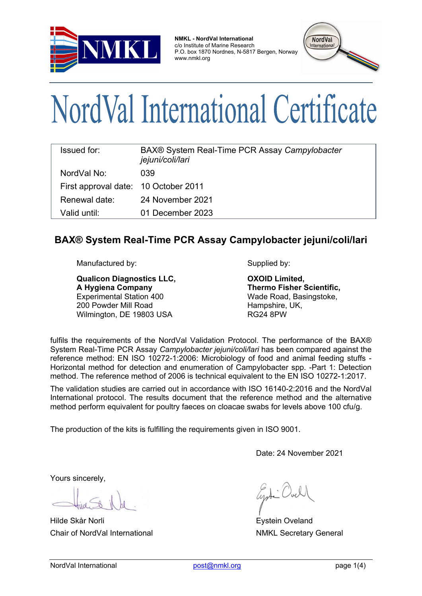

**NMKL - NordVal International** c/o Institute of Marine Research P.O. box 1870 Nordnes, N-5817 Bergen, Norway www.nmkl.org



# NordVal International Certificate

| <b>Issued for:</b>                   | BAX® System Real-Time PCR Assay Campylobacter<br>jejuni/coli/lari |  |  |  |
|--------------------------------------|-------------------------------------------------------------------|--|--|--|
| NordVal No:                          | 039                                                               |  |  |  |
| First approval date: 10 October 2011 |                                                                   |  |  |  |
| Renewal date:                        | 24 November 2021                                                  |  |  |  |
| Valid until:                         | 01 December 2023                                                  |  |  |  |

## **BAX® System Real-Time PCR Assay Campylobacter jejuni/coli/lari**

Manufactured by: Supplied by:

**Qualicon Diagnostics LLC, A Hygiena Company** Experimental Station 400 200 Powder Mill Road Wilmington, DE 19803 USA

**OXOID Limited, Thermo Fisher Scientific,**  Wade Road, Basingstoke, Hampshire, UK, RG24 8PW

fulfils the requirements of the NordVal Validation Protocol. The performance of the BAX® System Real-Time PCR Assay *Campylobacter jejuni/coli/lari* has been compared against the reference method: EN ISO 10272-1:2006: Microbiology of food and animal feeding stuffs - Horizontal method for detection and enumeration of Campylobacter spp. -Part 1: Detection method. The reference method of 2006 is technical equivalent to the EN ISO 10272-1:2017.

The validation studies are carried out in accordance with ISO 16140-2:2016 and the NordVal International protocol. The results document that the reference method and the alternative method perform equivalent for poultry faeces on cloacae swabs for levels above 100 cfu/g.

The production of the kits is fulfilling the requirements given in ISO 9001.

Date: 24 November 2021

Yours sincerely,

Hilde Skår Norli Eystein Oveland Chair of NordVal International NMKL Secretary General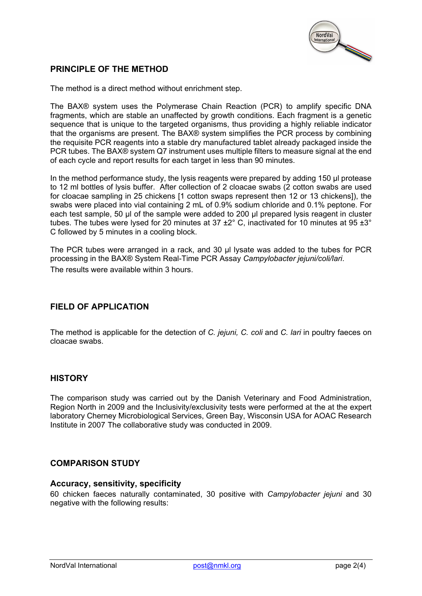

## **PRINCIPLE OF THE METHOD**

The method is a direct method without enrichment step.

The BAX® system uses the Polymerase Chain Reaction (PCR) to amplify specific DNA fragments, which are stable an unaffected by growth conditions. Each fragment is a genetic sequence that is unique to the targeted organisms, thus providing a highly reliable indicator that the organisms are present. The BAX® system simplifies the PCR process by combining the requisite PCR reagents into a stable dry manufactured tablet already packaged inside the PCR tubes. The BAX® system Q7 instrument uses multiple filters to measure signal at the end of each cycle and report results for each target in less than 90 minutes.

In the method performance study, the lysis reagents were prepared by adding 150 µl protease to 12 ml bottles of lysis buffer. After collection of 2 cloacae swabs (2 cotton swabs are used for cloacae sampling in 25 chickens [1 cotton swaps represent then 12 or 13 chickens]), the swabs were placed into vial containing 2 mL of 0.9% sodium chloride and 0.1% peptone. For each test sample, 50 µl of the sample were added to 200 µl prepared lysis reagent in cluster tubes. The tubes were lysed for 20 minutes at 37  $\pm$ 2° C, inactivated for 10 minutes at 95  $\pm$ 3° C followed by 5 minutes in a cooling block.

The PCR tubes were arranged in a rack, and 30 µl lysate was added to the tubes for PCR processing in the BAX® System Real-Time PCR Assay *Campylobacter jejuni/coli/lari*. The results were available within 3 hours.

### **FIELD OF APPLICATION**

The method is applicable for the detection of *C. jejuni, C. coli* and *C. lari* in poultry faeces on cloacae swabs.

#### **HISTORY**

The comparison study was carried out by the Danish Veterinary and Food Administration, Region North in 2009 and the Inclusivity/exclusivity tests were performed at the at the expert laboratory Cherney Microbiological Services, Green Bay, Wisconsin USA for AOAC Research Institute in 2007 The collaborative study was conducted in 2009.

#### **COMPARISON STUDY**

#### **Accuracy, sensitivity, specificity**

60 chicken faeces naturally contaminated, 30 positive with *Campylobacter jejuni* and 30 negative with the following results: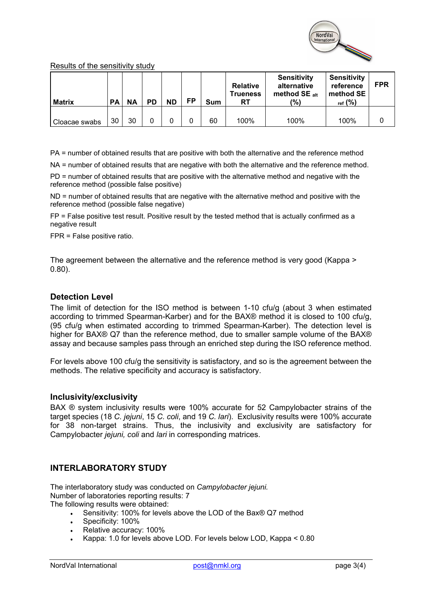

#### Results of the sensitivity study

| <b>Matrix</b> | РA | ΝA | PD | <b>ND</b> | FP | Sum | <b>Relative</b><br><b>Trueness</b><br>RT | <b>Sensitivity</b><br>alternative<br>method $SE_{alt}$<br>$\frac{10}{2}$ | <b>Sensitivity</b><br>reference<br>method SE<br>ref (%) | <b>FPR</b> |
|---------------|----|----|----|-----------|----|-----|------------------------------------------|--------------------------------------------------------------------------|---------------------------------------------------------|------------|
| Cloacae swabs | 30 | 30 |    |           |    | 60  | 100%                                     | 100%                                                                     | 100%                                                    |            |

PA = number of obtained results that are positive with both the alternative and the reference method

NA = number of obtained results that are negative with both the alternative and the reference method.

PD = number of obtained results that are positive with the alternative method and negative with the reference method (possible false positive)

ND = number of obtained results that are negative with the alternative method and positive with the reference method (possible false negative)

FP = False positive test result. Positive result by the tested method that is actually confirmed as a negative result

FPR = False positive ratio.

The agreement between the alternative and the reference method is very good (Kappa > 0.80).

#### **Detection Level**

The limit of detection for the ISO method is between 1-10 cfu/g (about 3 when estimated according to trimmed Spearman-Karber) and for the BAX® method it is closed to 100 cfu/g, (95 cfu/g when estimated according to trimmed Spearman-Karber). The detection level is higher for BAX® Q7 than the reference method, due to smaller sample volume of the BAX® assay and because samples pass through an enriched step during the ISO reference method.

For levels above 100 cfu/g the sensitivity is satisfactory, and so is the agreement between the methods. The relative specificity and accuracy is satisfactory.

#### **Inclusivity/exclusivity**

BAX ® system inclusivity results were 100% accurate for 52 Campylobacter strains of the target species (18 *C. jejuni*, 15 *C. coli*, and 19 *C. lari*). Exclusivity results were 100% accurate for 38 non-target strains. Thus, the inclusivity and exclusivity are satisfactory for Campylobacter *jejuni, coli* and *lari* in corresponding matrices.

#### **INTERLABORATORY STUDY**

The interlaboratory study was conducted on *Campylobacter jejuni.* Number of laboratories reporting results: 7 The following results were obtained:

- Sensitivity: 100% for levels above the LOD of the Bax® Q7 method
- Specificity: 100%
- Relative accuracy: 100%
- Kappa: 1.0 for levels above LOD. For levels below LOD, Kappa < 0.80